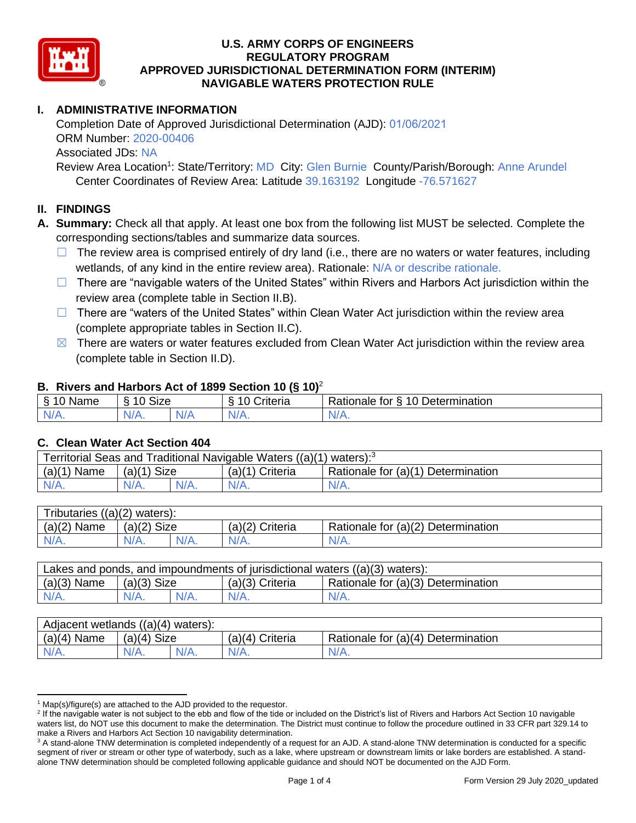

# **I. ADMINISTRATIVE INFORMATION**

Completion Date of Approved Jurisdictional Determination (AJD): 01/06/2021 ORM Number: 2020-00406 Associated JDs: NA

Review Area Location<sup>1</sup>: State/Territory: MD City: Glen Burnie County/Parish/Borough: Anne Arundel Center Coordinates of Review Area: Latitude 39.163192 Longitude -76.571627

### **II. FINDINGS**

**A. Summary:** Check all that apply. At least one box from the following list MUST be selected. Complete the corresponding sections/tables and summarize data sources.

- $\Box$  The review area is comprised entirely of dry land (i.e., there are no waters or water features, including wetlands, of any kind in the entire review area). Rationale: N/A or describe rationale.
- $\Box$  There are "navigable waters of the United States" within Rivers and Harbors Act jurisdiction within the review area (complete table in Section II.B).
- $\Box$  There are "waters of the United States" within Clean Water Act jurisdiction within the review area (complete appropriate tables in Section II.C).
- $\boxtimes$  There are waters or water features excluded from Clean Water Act jurisdiction within the review area (complete table in Section II.D).

### **B. Rivers and Harbors Act of 1899 Section 10 (§ 10)**<sup>2</sup>

| $\cdot$                    |                      |   |                         |                                                  |  |  |  |
|----------------------------|----------------------|---|-------------------------|--------------------------------------------------|--|--|--|
| $\sim$<br>100<br>Name<br>s | $\sim$<br>10<br>SIZE |   | .<br>10<br>-<br>;nteria | Determination<br>$\sim$<br>-<br>tor<br>Rationale |  |  |  |
| $N/A$ .                    | NI/<br>97 / TV +     | . | $N/A$ .                 | N/A.                                             |  |  |  |

### **C. Clean Water Act Section 404**

| Territorial Seas and Traditional Navigable Waters ((a)(1)<br>waters): <sup>3</sup> |                |  |                   |                                    |  |  |
|------------------------------------------------------------------------------------|----------------|--|-------------------|------------------------------------|--|--|
| (a)(1)<br>Name                                                                     | Size<br>(a)(1) |  | $(a)(1)$ Criteria | Rationale for (a)(1) Determination |  |  |
| IV/A.                                                                              | $N/A$ .        |  | $N/A$ .           | N/A.                               |  |  |

| Tributaries ((a)(2) waters): |                |         |                 |                                    |  |  |
|------------------------------|----------------|---------|-----------------|------------------------------------|--|--|
| $(a)(2)$ Name                | Size<br>(a)(2) |         | (a)(2) Criteria | Rationale for (a)(2) Determination |  |  |
| $N/A$ .                      | $N/A$ .        | $N/A$ . | $N/A$ .         | N/A.                               |  |  |

| Lakes and ponds, and impoundments of jurisdictional waters $((a)(3)$ waters): |               |         |                   |                                    |  |  |
|-------------------------------------------------------------------------------|---------------|---------|-------------------|------------------------------------|--|--|
| $(a)(3)$ Name                                                                 | $(a)(3)$ Size |         | $(a)(3)$ Criteria | Rationale for (a)(3) Determination |  |  |
| $N/A$ .                                                                       |               | $N/A$ . | $N/A$ .           | $N/A$ .                            |  |  |

| Adjacent wetlands<br>((a)(4)<br>waters): |                       |         |                    |                                    |  |  |
|------------------------------------------|-----------------------|---------|--------------------|------------------------------------|--|--|
| (a)(4)<br>Name                           | <b>Size</b><br>(a)(4) |         | (a)(4)<br>Criteria | Rationale for (a)(4) Determination |  |  |
| $N/A$ .                                  | $N/A$ .               | $N/A$ . | $N/A$ .            | $N/A$ .                            |  |  |

 $1$  Map(s)/figure(s) are attached to the AJD provided to the requestor.

<sup>&</sup>lt;sup>2</sup> If the navigable water is not subject to the ebb and flow of the tide or included on the District's list of Rivers and Harbors Act Section 10 navigable waters list, do NOT use this document to make the determination. The District must continue to follow the procedure outlined in 33 CFR part 329.14 to make a Rivers and Harbors Act Section 10 navigability determination.

<sup>&</sup>lt;sup>3</sup> A stand-alone TNW determination is completed independently of a request for an AJD. A stand-alone TNW determination is conducted for a specific segment of river or stream or other type of waterbody, such as a lake, where upstream or downstream limits or lake borders are established. A standalone TNW determination should be completed following applicable guidance and should NOT be documented on the AJD Form.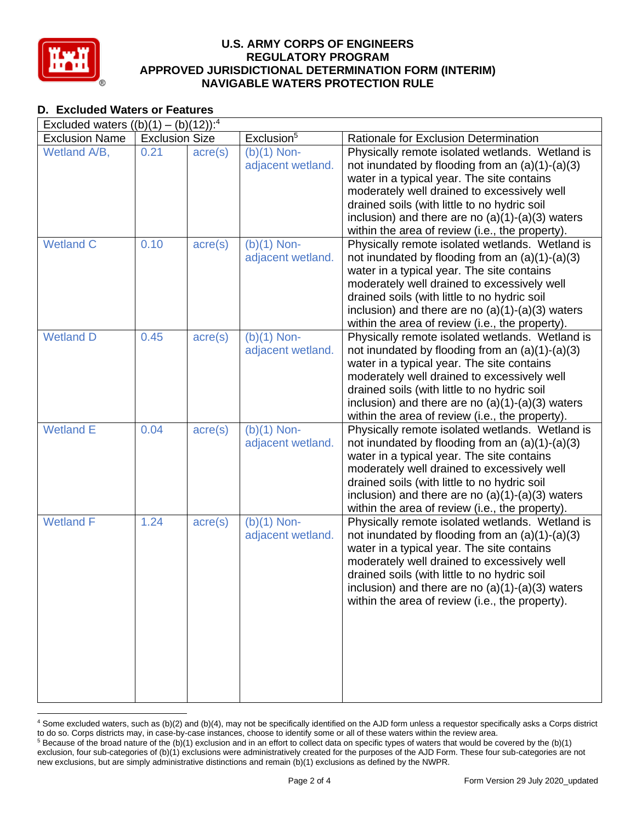

# **D. Excluded Waters or Features**

| Excluded waters $((b)(1) - (b)(12))$ : <sup>4</sup> |                       |                  |                        |                                                    |  |  |
|-----------------------------------------------------|-----------------------|------------------|------------------------|----------------------------------------------------|--|--|
| <b>Exclusion Name</b>                               | <b>Exclusion Size</b> |                  | Exclusion <sup>5</sup> | Rationale for Exclusion Determination              |  |  |
| Wetland A/B,                                        | 0.21                  | $\text{acre}(s)$ | $(b)(1)$ Non-          | Physically remote isolated wetlands. Wetland is    |  |  |
|                                                     |                       |                  | adjacent wetland.      | not inundated by flooding from an $(a)(1)-(a)(3)$  |  |  |
|                                                     |                       |                  |                        | water in a typical year. The site contains         |  |  |
|                                                     |                       |                  |                        | moderately well drained to excessively well        |  |  |
|                                                     |                       |                  |                        | drained soils (with little to no hydric soil       |  |  |
|                                                     |                       |                  |                        | inclusion) and there are no $(a)(1)-(a)(3)$ waters |  |  |
|                                                     |                       |                  |                        | within the area of review (i.e., the property).    |  |  |
| <b>Wetland C</b>                                    | 0.10                  | $\text{acre}(s)$ | $(b)(1)$ Non-          | Physically remote isolated wetlands. Wetland is    |  |  |
|                                                     |                       |                  | adjacent wetland.      | not inundated by flooding from an $(a)(1)-(a)(3)$  |  |  |
|                                                     |                       |                  |                        | water in a typical year. The site contains         |  |  |
|                                                     |                       |                  |                        | moderately well drained to excessively well        |  |  |
|                                                     |                       |                  |                        | drained soils (with little to no hydric soil       |  |  |
|                                                     |                       |                  |                        | inclusion) and there are no $(a)(1)-(a)(3)$ waters |  |  |
|                                                     |                       |                  |                        | within the area of review (i.e., the property).    |  |  |
| <b>Wetland D</b>                                    | 0.45                  | $\text{acre}(s)$ | $(b)(1)$ Non-          | Physically remote isolated wetlands. Wetland is    |  |  |
|                                                     |                       |                  | adjacent wetland.      | not inundated by flooding from an $(a)(1)-(a)(3)$  |  |  |
|                                                     |                       |                  |                        | water in a typical year. The site contains         |  |  |
|                                                     |                       |                  |                        | moderately well drained to excessively well        |  |  |
|                                                     |                       |                  |                        | drained soils (with little to no hydric soil       |  |  |
|                                                     |                       |                  |                        | inclusion) and there are no $(a)(1)-(a)(3)$ waters |  |  |
|                                                     |                       |                  |                        | within the area of review (i.e., the property).    |  |  |
| <b>Wetland E</b>                                    | 0.04                  | $\text{acre}(s)$ | $(b)(1)$ Non-          | Physically remote isolated wetlands. Wetland is    |  |  |
|                                                     |                       |                  | adjacent wetland.      | not inundated by flooding from an $(a)(1)-(a)(3)$  |  |  |
|                                                     |                       |                  |                        | water in a typical year. The site contains         |  |  |
|                                                     |                       |                  |                        | moderately well drained to excessively well        |  |  |
|                                                     |                       |                  |                        | drained soils (with little to no hydric soil       |  |  |
|                                                     |                       |                  |                        | inclusion) and there are no $(a)(1)-(a)(3)$ waters |  |  |
|                                                     |                       |                  |                        | within the area of review (i.e., the property).    |  |  |
| <b>Wetland F</b>                                    | 1.24                  | $\text{acre}(s)$ | $(b)(1)$ Non-          | Physically remote isolated wetlands. Wetland is    |  |  |
|                                                     |                       |                  | adjacent wetland.      | not inundated by flooding from an $(a)(1)-(a)(3)$  |  |  |
|                                                     |                       |                  |                        | water in a typical year. The site contains         |  |  |
|                                                     |                       |                  |                        | moderately well drained to excessively well        |  |  |
|                                                     |                       |                  |                        | drained soils (with little to no hydric soil       |  |  |
|                                                     |                       |                  |                        | inclusion) and there are no $(a)(1)-(a)(3)$ waters |  |  |
|                                                     |                       |                  |                        | within the area of review (i.e., the property).    |  |  |
|                                                     |                       |                  |                        |                                                    |  |  |
|                                                     |                       |                  |                        |                                                    |  |  |
|                                                     |                       |                  |                        |                                                    |  |  |
|                                                     |                       |                  |                        |                                                    |  |  |
|                                                     |                       |                  |                        |                                                    |  |  |
|                                                     |                       |                  |                        |                                                    |  |  |
|                                                     |                       |                  |                        |                                                    |  |  |

<sup>4</sup> Some excluded waters, such as (b)(2) and (b)(4), may not be specifically identified on the AJD form unless a requestor specifically asks a Corps district to do so. Corps districts may, in case-by-case instances, choose to identify some or all of these waters within the review area.  $5$  Because of the broad nature of the (b)(1) exclusion and in an effort to collect data on specific types of waters that would be covered by the (b)(1)

exclusion, four sub-categories of (b)(1) exclusions were administratively created for the purposes of the AJD Form. These four sub-categories are not new exclusions, but are simply administrative distinctions and remain (b)(1) exclusions as defined by the NWPR.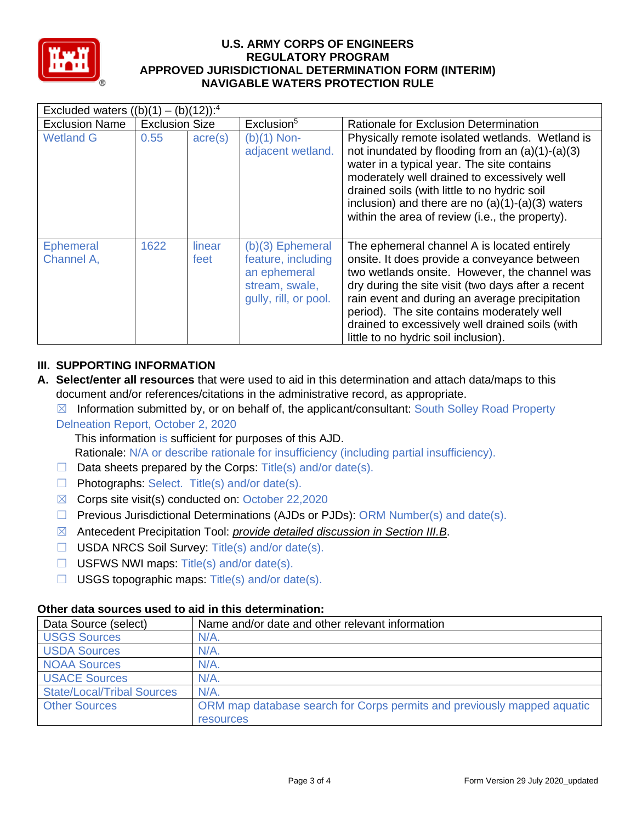

| Excluded waters $((b)(1) - (b)(12))$ : <sup>4</sup> |                       |                  |                                                                                                     |                                                                                                                                                                                                                                                                                                                                                                                               |  |  |
|-----------------------------------------------------|-----------------------|------------------|-----------------------------------------------------------------------------------------------------|-----------------------------------------------------------------------------------------------------------------------------------------------------------------------------------------------------------------------------------------------------------------------------------------------------------------------------------------------------------------------------------------------|--|--|
| <b>Exclusion Name</b>                               | <b>Exclusion Size</b> |                  | Exclusion <sup>5</sup>                                                                              | Rationale for Exclusion Determination                                                                                                                                                                                                                                                                                                                                                         |  |  |
| <b>Wetland G</b>                                    | 0.55                  | $\text{acre}(s)$ | $(b)(1)$ Non-<br>adjacent wetland.                                                                  | Physically remote isolated wetlands. Wetland is<br>not inundated by flooding from an $(a)(1)-(a)(3)$<br>water in a typical year. The site contains<br>moderately well drained to excessively well<br>drained soils (with little to no hydric soil<br>inclusion) and there are no $(a)(1)-(a)(3)$ waters<br>within the area of review (i.e., the property).                                    |  |  |
| <b>Ephemeral</b><br>Channel A,                      | 1622                  | linear<br>feet   | $(b)(3)$ Ephemeral<br>feature, including<br>an ephemeral<br>stream, swale,<br>gully, rill, or pool. | The ephemeral channel A is located entirely<br>onsite. It does provide a conveyance between<br>two wetlands onsite. However, the channel was<br>dry during the site visit (two days after a recent<br>rain event and during an average precipitation<br>period). The site contains moderately well<br>drained to excessively well drained soils (with<br>little to no hydric soil inclusion). |  |  |

# **III. SUPPORTING INFORMATION**

**A. Select/enter all resources** that were used to aid in this determination and attach data/maps to this document and/or references/citations in the administrative record, as appropriate.

 $\boxtimes$  Information submitted by, or on behalf of, the applicant/consultant: South Solley Road Property Delneation Report, October 2, 2020

This information is sufficient for purposes of this AJD.

Rationale: N/A or describe rationale for insufficiency (including partial insufficiency).

- $\Box$  Data sheets prepared by the Corps: Title(s) and/or date(s).
- $\Box$  Photographs: Select. Title(s) and/or date(s).
- $\boxtimes$  Corps site visit(s) conducted on: October 22,2020
- ☐ Previous Jurisdictional Determinations (AJDs or PJDs): ORM Number(s) and date(s).
- ☒ Antecedent Precipitation Tool: *provide detailed discussion in Section III.B*.
- ☐ USDA NRCS Soil Survey: Title(s) and/or date(s).
- $\Box$  USFWS NWI maps: Title(s) and/or date(s).
- $\Box$  USGS topographic maps: Title(s) and/or date(s).

### **Other data sources used to aid in this determination:**

| Data Source (select)              | Name and/or date and other relevant information                         |
|-----------------------------------|-------------------------------------------------------------------------|
| <b>USGS Sources</b>               | $N/A$ .                                                                 |
| <b>USDA Sources</b>               | $N/A$ .                                                                 |
| <b>NOAA Sources</b>               | $N/A$ .                                                                 |
| <b>USACE Sources</b>              | $N/A$ .                                                                 |
| <b>State/Local/Tribal Sources</b> | $N/A$ .                                                                 |
| <b>Other Sources</b>              | ORM map database search for Corps permits and previously mapped aquatic |
|                                   | resources                                                               |